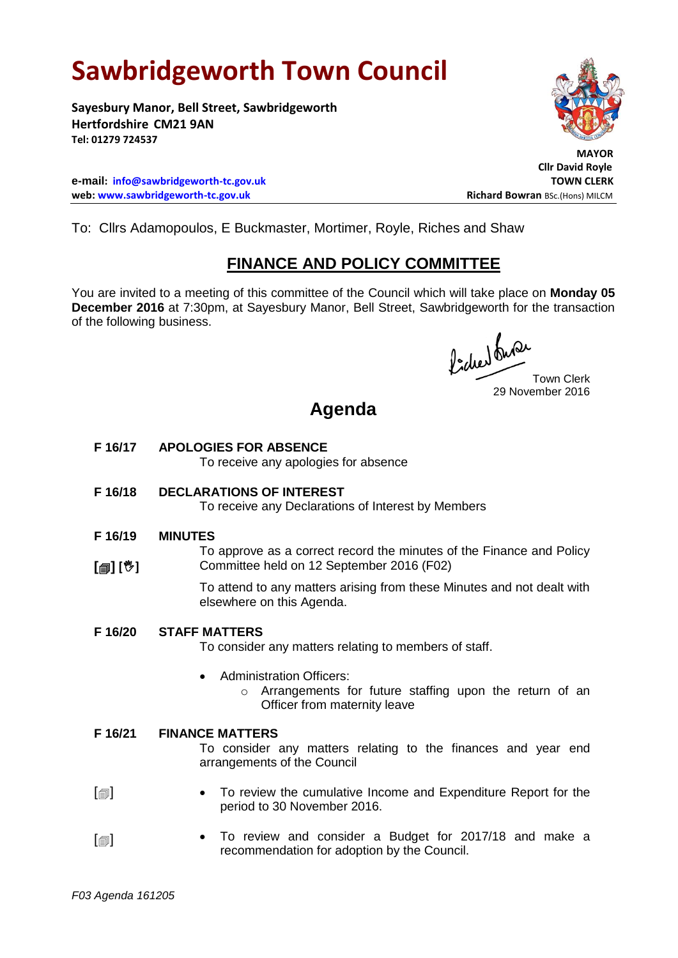# **Sawbridgeworth Town Council**

**Sayesbury Manor, Bell Street, Sawbridgeworth Hertfordshire CM21 9AN Tel: 01279 724537**

**e-mail: [info@sawbridgeworth-tc.gov.uk](mailto:info@sawbridgeworth-tc.gov.uk) TOWN CLERK web: www.sawbridgeworth-tc.gov.uk Richard Bowran BSc.(Hons) MILCM Richard Bowran BSc.(Hons) MILCM** 



 **MAYOR Cllr David Royle**

To: Cllrs Adamopoulos, E Buckmaster, Mortimer, Royle, Riches and Shaw

## **FINANCE AND POLICY COMMITTEE**

You are invited to a meeting of this committee of the Council which will take place on **Monday 05 December 2016** at 7:30pm, at Sayesbury Manor, Bell Street, Sawbridgeworth for the transaction of the following business.

fide buse

Town Clerk 29 November 2016

## **Agenda**

- **F 16/17 APOLOGIES FOR ABSENCE** To receive any apologies for absence
- **F 16/18 DECLARATIONS OF INTEREST**

To receive any Declarations of Interest by Members

- **F 16/19 MINUTES**
- **[] []** To approve as a correct record the minutes of the Finance and Policy Committee held on 12 September 2016 (F02)

To attend to any matters arising from these Minutes and not dealt with elsewhere on this Agenda.

### **F 16/20 STAFF MATTERS**

To consider any matters relating to members of staff.

- Administration Officers:
	- o Arrangements for future staffing upon the return of an Officer from maternity leave

#### **F 16/21 FINANCE MATTERS**

To consider any matters relating to the finances and year end arrangements of the Council

- $\lceil$  $\blacksquare$  To review the cumulative Income and Expenditure Report for the period to 30 November 2016.
- $\lceil$  $\blacksquare$  To review and consider a Budget for 2017/18 and make a recommendation for adoption by the Council.